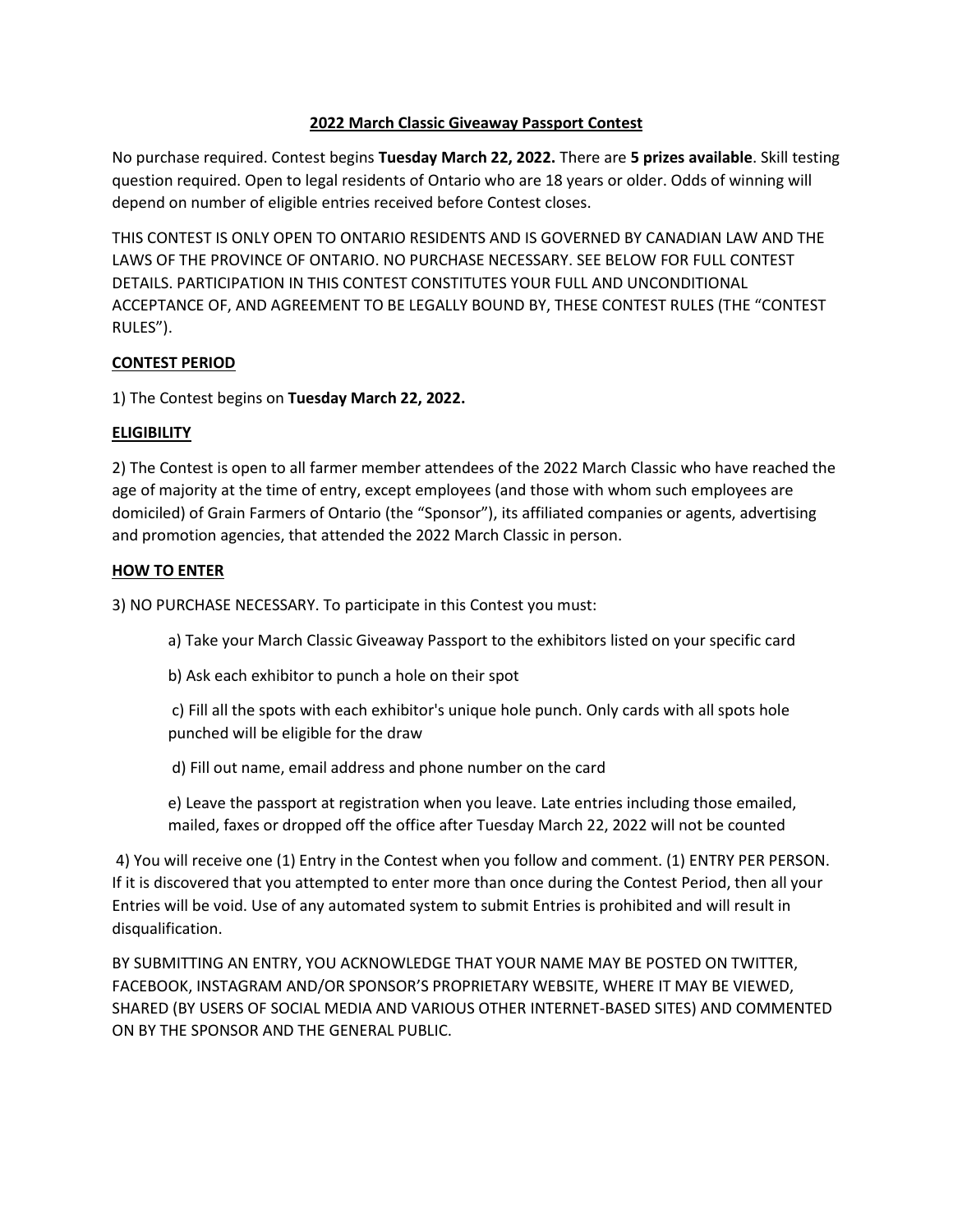# **2022 March Classic Giveaway Passport Contest**

No purchase required. Contest begins **Tuesday March 22, 2022.** There are **5 prizes available**. Skill testing question required. Open to legal residents of Ontario who are 18 years or older. Odds of winning will depend on number of eligible entries received before Contest closes.

THIS CONTEST IS ONLY OPEN TO ONTARIO RESIDENTS AND IS GOVERNED BY CANADIAN LAW AND THE LAWS OF THE PROVINCE OF ONTARIO. NO PURCHASE NECESSARY. SEE BELOW FOR FULL CONTEST DETAILS. PARTICIPATION IN THIS CONTEST CONSTITUTES YOUR FULL AND UNCONDITIONAL ACCEPTANCE OF, AND AGREEMENT TO BE LEGALLY BOUND BY, THESE CONTEST RULES (THE "CONTEST RULES").

# **CONTEST PERIOD**

1) The Contest begins on **Tuesday March 22, 2022.** 

## **ELIGIBILITY**

2) The Contest is open to all farmer member attendees of the 2022 March Classic who have reached the age of majority at the time of entry, except employees (and those with whom such employees are domiciled) of Grain Farmers of Ontario (the "Sponsor"), its affiliated companies or agents, advertising and promotion agencies, that attended the 2022 March Classic in person.

## **HOW TO ENTER**

3) NO PURCHASE NECESSARY. To participate in this Contest you must:

a) Take your March Classic Giveaway Passport to the exhibitors listed on your specific card

b) Ask each exhibitor to punch a hole on their spot

c) Fill all the spots with each exhibitor's unique hole punch. Only cards with all spots hole punched will be eligible for the draw

d) Fill out name, email address and phone number on the card

e) Leave the passport at registration when you leave. Late entries including those emailed, mailed, faxes or dropped off the office after Tuesday March 22, 2022 will not be counted

4) You will receive one (1) Entry in the Contest when you follow and comment. (1) ENTRY PER PERSON. If it is discovered that you attempted to enter more than once during the Contest Period, then all your Entries will be void. Use of any automated system to submit Entries is prohibited and will result in disqualification.

BY SUBMITTING AN ENTRY, YOU ACKNOWLEDGE THAT YOUR NAME MAY BE POSTED ON TWITTER, FACEBOOK, INSTAGRAM AND/OR SPONSOR'S PROPRIETARY WEBSITE, WHERE IT MAY BE VIEWED, SHARED (BY USERS OF SOCIAL MEDIA AND VARIOUS OTHER INTERNET-BASED SITES) AND COMMENTED ON BY THE SPONSOR AND THE GENERAL PUBLIC.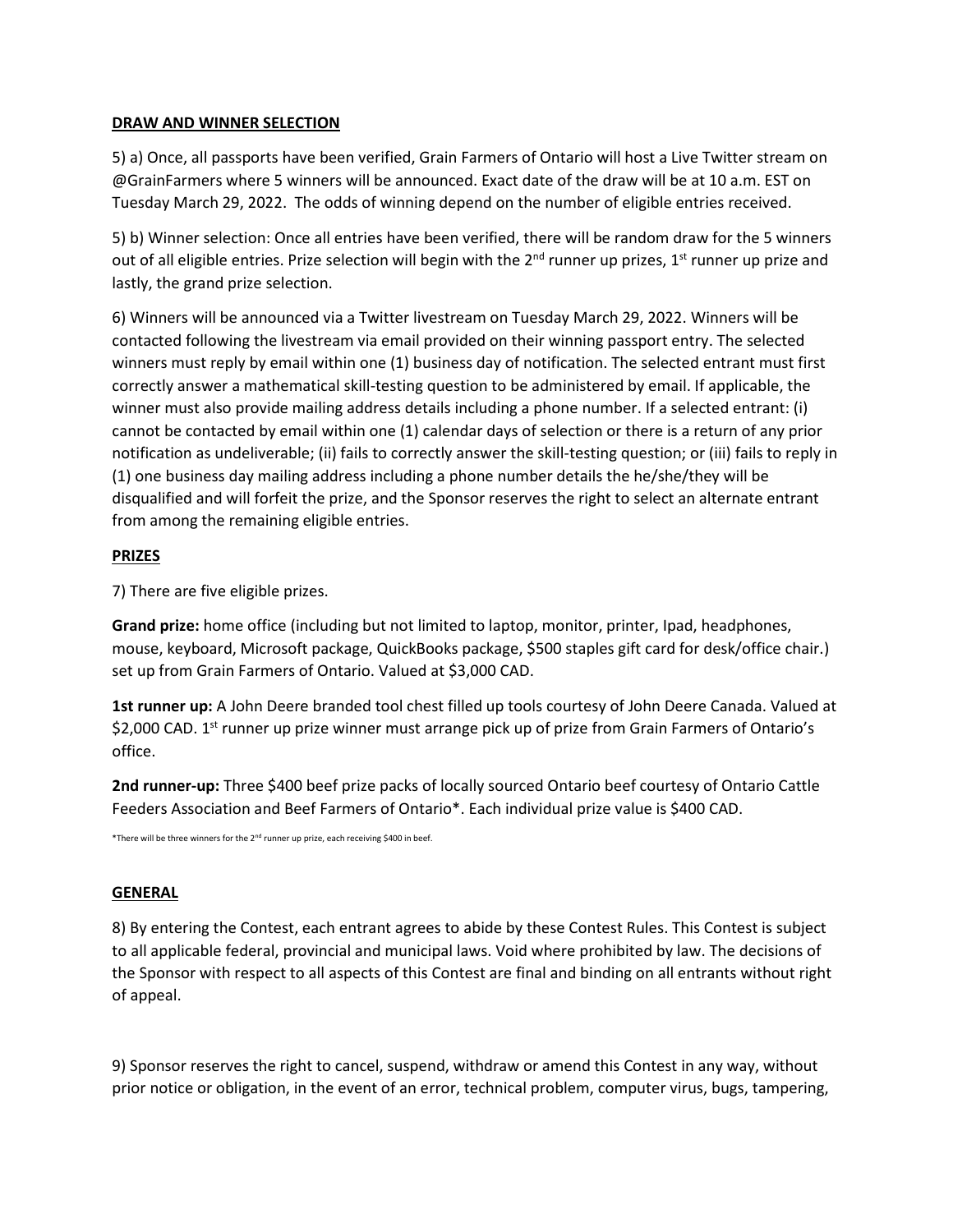### **DRAW AND WINNER SELECTION**

5) a) Once, all passports have been verified, Grain Farmers of Ontario will host a Live Twitter stream on @GrainFarmers where 5 winners will be announced. Exact date of the draw will be at 10 a.m. EST on Tuesday March 29, 2022. The odds of winning depend on the number of eligible entries received.

5) b) Winner selection: Once all entries have been verified, there will be random draw for the 5 winners out of all eligible entries. Prize selection will begin with the  $2^{nd}$  runner up prizes, 1<sup>st</sup> runner up prize and lastly, the grand prize selection.

6) Winners will be announced via a Twitter livestream on Tuesday March 29, 2022. Winners will be contacted following the livestream via email provided on their winning passport entry. The selected winners must reply by email within one (1) business day of notification. The selected entrant must first correctly answer a mathematical skill-testing question to be administered by email. If applicable, the winner must also provide mailing address details including a phone number. If a selected entrant: (i) cannot be contacted by email within one (1) calendar days of selection or there is a return of any prior notification as undeliverable; (ii) fails to correctly answer the skill-testing question; or (iii) fails to reply in (1) one business day mailing address including a phone number details the he/she/they will be disqualified and will forfeit the prize, and the Sponsor reserves the right to select an alternate entrant from among the remaining eligible entries.

### **PRIZES**

7) There are five eligible prizes.

**Grand prize:** home office (including but not limited to laptop, monitor, printer, Ipad, headphones, mouse, keyboard, Microsoft package, QuickBooks package, \$500 staples gift card for desk/office chair.) set up from Grain Farmers of Ontario. Valued at \$3,000 CAD.

**1st runner up:** A John Deere branded tool chest filled up tools courtesy of John Deere Canada. Valued at \$2,000 CAD. 1<sup>st</sup> runner up prize winner must arrange pick up of prize from Grain Farmers of Ontario's office.

**2nd runner-up:** Three \$400 beef prize packs of locally sourced Ontario beef courtesy of Ontario Cattle Feeders Association and Beef Farmers of Ontario\*. Each individual prize value is \$400 CAD.

\*There will be three winners for the 2<sup>nd</sup> runner up prize, each receiving \$400 in beef.

#### **GENERAL**

8) By entering the Contest, each entrant agrees to abide by these Contest Rules. This Contest is subject to all applicable federal, provincial and municipal laws. Void where prohibited by law. The decisions of the Sponsor with respect to all aspects of this Contest are final and binding on all entrants without right of appeal.

9) Sponsor reserves the right to cancel, suspend, withdraw or amend this Contest in any way, without prior notice or obligation, in the event of an error, technical problem, computer virus, bugs, tampering,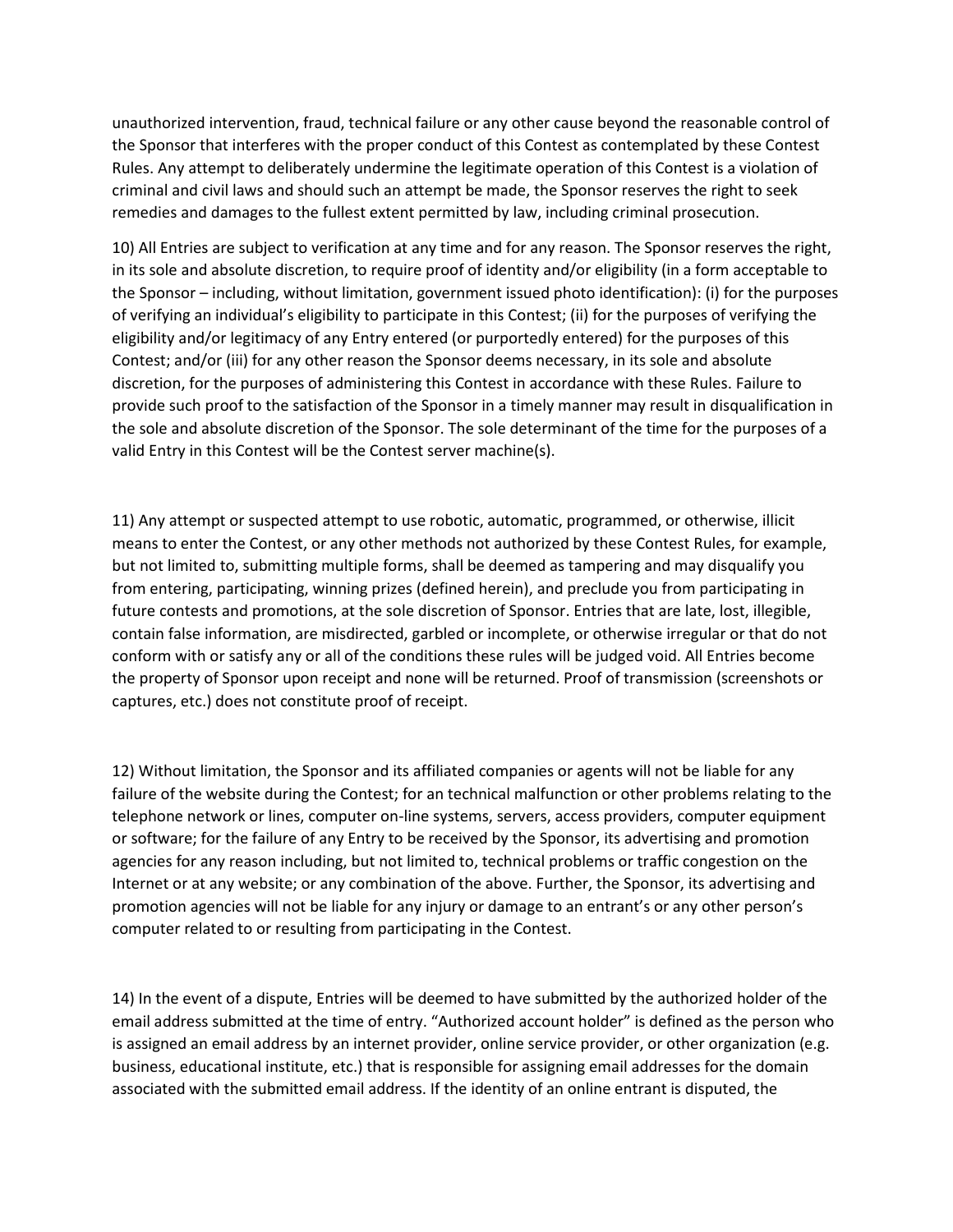unauthorized intervention, fraud, technical failure or any other cause beyond the reasonable control of the Sponsor that interferes with the proper conduct of this Contest as contemplated by these Contest Rules. Any attempt to deliberately undermine the legitimate operation of this Contest is a violation of criminal and civil laws and should such an attempt be made, the Sponsor reserves the right to seek remedies and damages to the fullest extent permitted by law, including criminal prosecution.

10) All Entries are subject to verification at any time and for any reason. The Sponsor reserves the right, in its sole and absolute discretion, to require proof of identity and/or eligibility (in a form acceptable to the Sponsor – including, without limitation, government issued photo identification): (i) for the purposes of verifying an individual's eligibility to participate in this Contest; (ii) for the purposes of verifying the eligibility and/or legitimacy of any Entry entered (or purportedly entered) for the purposes of this Contest; and/or (iii) for any other reason the Sponsor deems necessary, in its sole and absolute discretion, for the purposes of administering this Contest in accordance with these Rules. Failure to provide such proof to the satisfaction of the Sponsor in a timely manner may result in disqualification in the sole and absolute discretion of the Sponsor. The sole determinant of the time for the purposes of a valid Entry in this Contest will be the Contest server machine(s).

11) Any attempt or suspected attempt to use robotic, automatic, programmed, or otherwise, illicit means to enter the Contest, or any other methods not authorized by these Contest Rules, for example, but not limited to, submitting multiple forms, shall be deemed as tampering and may disqualify you from entering, participating, winning prizes (defined herein), and preclude you from participating in future contests and promotions, at the sole discretion of Sponsor. Entries that are late, lost, illegible, contain false information, are misdirected, garbled or incomplete, or otherwise irregular or that do not conform with or satisfy any or all of the conditions these rules will be judged void. All Entries become the property of Sponsor upon receipt and none will be returned. Proof of transmission (screenshots or captures, etc.) does not constitute proof of receipt.

12) Without limitation, the Sponsor and its affiliated companies or agents will not be liable for any failure of the website during the Contest; for an technical malfunction or other problems relating to the telephone network or lines, computer on-line systems, servers, access providers, computer equipment or software; for the failure of any Entry to be received by the Sponsor, its advertising and promotion agencies for any reason including, but not limited to, technical problems or traffic congestion on the Internet or at any website; or any combination of the above. Further, the Sponsor, its advertising and promotion agencies will not be liable for any injury or damage to an entrant's or any other person's computer related to or resulting from participating in the Contest.

14) In the event of a dispute, Entries will be deemed to have submitted by the authorized holder of the email address submitted at the time of entry. "Authorized account holder" is defined as the person who is assigned an email address by an internet provider, online service provider, or other organization (e.g. business, educational institute, etc.) that is responsible for assigning email addresses for the domain associated with the submitted email address. If the identity of an online entrant is disputed, the